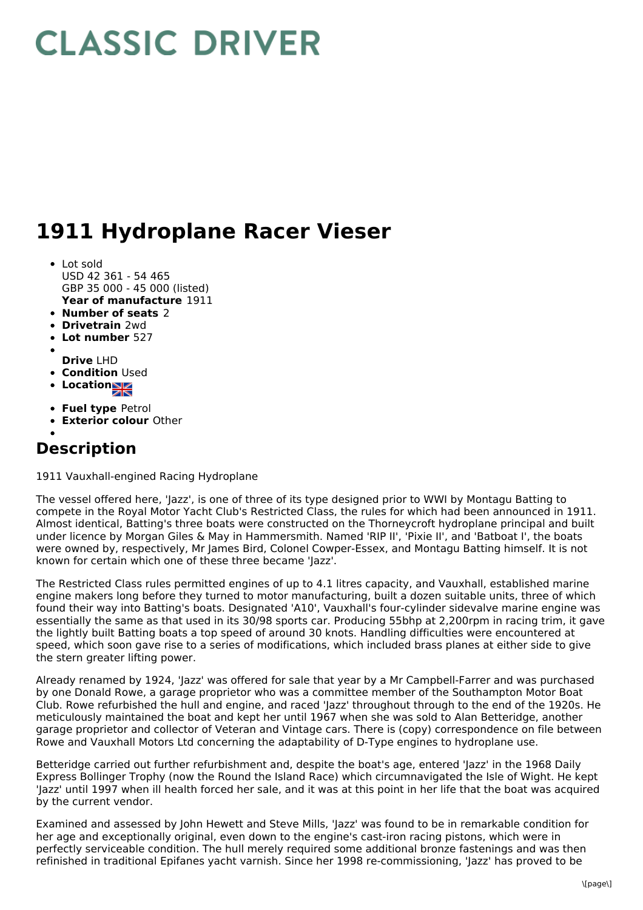## **CLASSIC DRIVER**

## **1911 Hydroplane Racer Vieser**

- **Year of manufacture** 1911 • Lot sold USD 42 361 - 54 465 GBP 35 000 - 45 000 (listed)
- **Number of seats** 2
- **Drivetrain** 2wd
- **Lot number** 527
- 
- **Drive** LHD
- **Condition Used**
- **Location**
- **Fuel type** Petrol
- **Exterior colour** Other

## **Description**

1911 Vauxhall-engined Racing Hydroplane

The vessel offered here, 'Jazz', is one of three of its type designed prior to WWI by Montagu Batting to compete in the Royal Motor Yacht Club's Restricted Class, the rules for which had been announced in 1911. Almost identical, Batting's three boats were constructed on the Thorneycroft hydroplane principal and built under licence by Morgan Giles & May in Hammersmith. Named 'RIP II', 'Pixie II', and 'Batboat I', the boats were owned by, respectively, Mr James Bird, Colonel Cowper-Essex, and Montagu Batting himself. It is not known for certain which one of these three became 'Jazz'.

The Restricted Class rules permitted engines of up to 4.1 litres capacity, and Vauxhall, established marine engine makers long before they turned to motor manufacturing, built a dozen suitable units, three of which found their way into Batting's boats. Designated 'A10', Vauxhall's four-cylinder sidevalve marine engine was essentially the same as that used in its 30/98 sports car. Producing 55bhp at 2,200rpm in racing trim, it gave the lightly built Batting boats a top speed of around 30 knots. Handling difficulties were encountered at speed, which soon gave rise to a series of modifications, which included brass planes at either side to give the stern greater lifting power.

Already renamed by 1924, 'Jazz' was offered for sale that year by a Mr Campbell-Farrer and was purchased by one Donald Rowe, a garage proprietor who was a committee member of the Southampton Motor Boat Club. Rowe refurbished the hull and engine, and raced 'Jazz' throughout through to the end of the 1920s. He meticulously maintained the boat and kept her until 1967 when she was sold to Alan Betteridge, another garage proprietor and collector of Veteran and Vintage cars. There is (copy) correspondence on file between Rowe and Vauxhall Motors Ltd concerning the adaptability of D-Type engines to hydroplane use.

Betteridge carried out further refurbishment and, despite the boat's age, entered 'Jazz' in the 1968 Daily Express Bollinger Trophy (now the Round the Island Race) which circumnavigated the Isle of Wight. He kept 'Jazz' until 1997 when ill health forced her sale, and it was at this point in her life that the boat was acquired by the current vendor.

Examined and assessed by John Hewett and Steve Mills, 'Jazz' was found to be in remarkable condition for her age and exceptionally original, even down to the engine's cast-iron racing pistons, which were in perfectly serviceable condition. The hull merely required some additional bronze fastenings and was then refinished in traditional Epifanes yacht varnish. Since her 1998 re-commissioning, 'Jazz' has proved to be